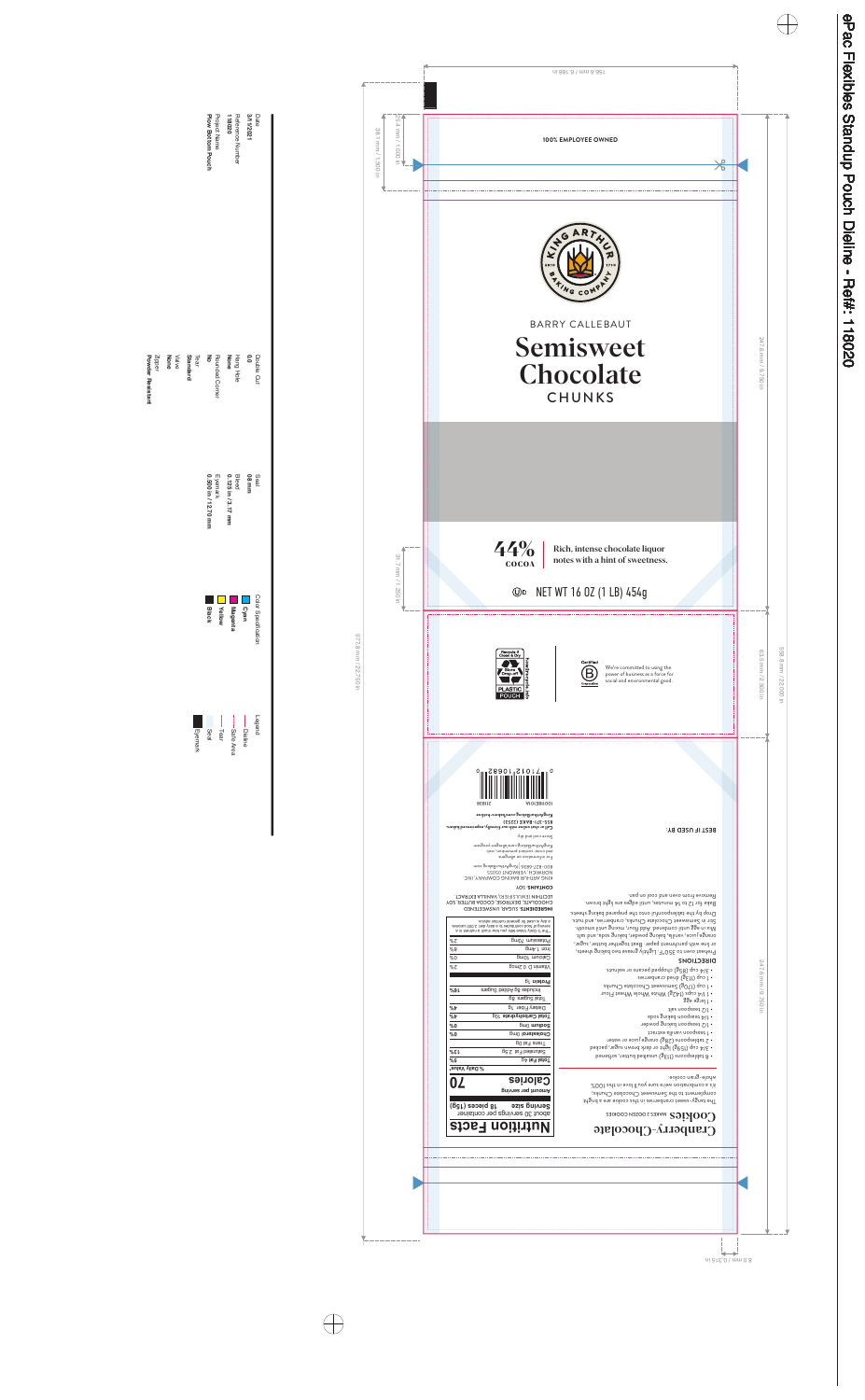



Rich, intense chocolate liquor notes with a hint of sweetness.

# NET WT 16 OZ (1 LB) 454g